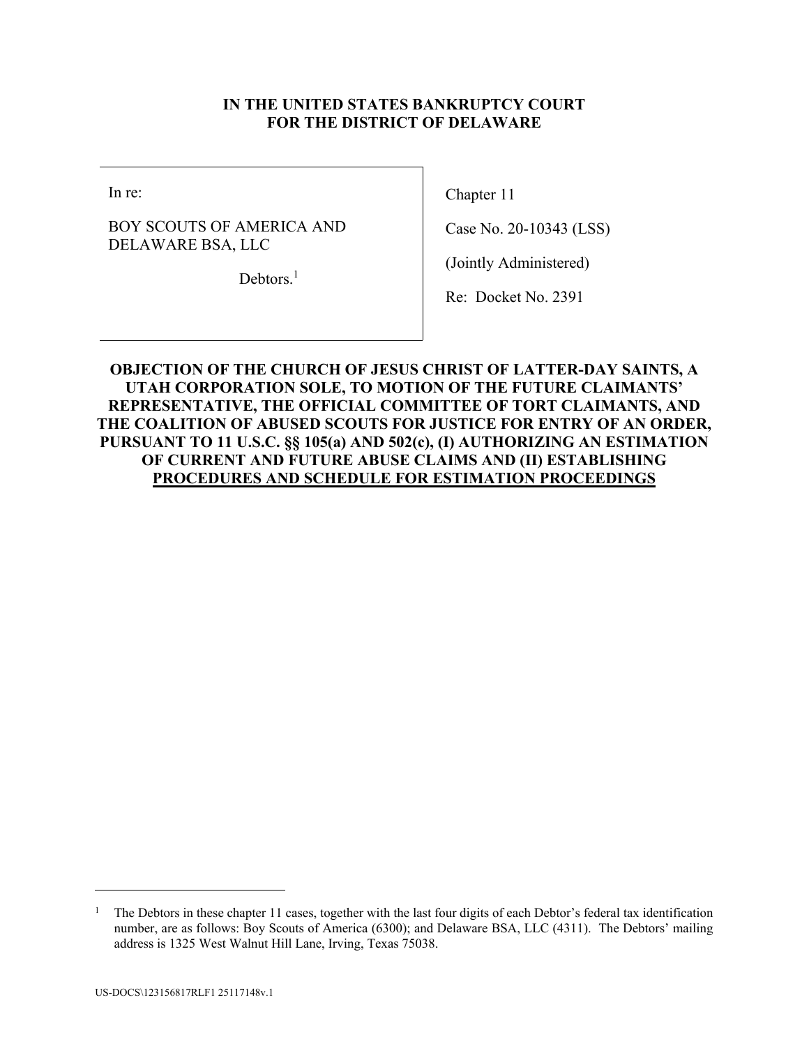### **IN THE UNITED STATES BANKRUPTCY COURT FOR THE DISTRICT OF DELAWARE**

In re:

BOY SCOUTS OF AMERICA AND DELAWARE BSA, LLC

Debtors.<sup>1</sup>

Chapter 11

Case No. 20-10343 (LSS)

(Jointly Administered)

Re: Docket No. 2391

## **OBJECTION OF THE CHURCH OF JESUS CHRIST OF LATTER-DAY SAINTS, A UTAH CORPORATION SOLE, TO MOTION OF THE FUTURE CLAIMANTS' REPRESENTATIVE, THE OFFICIAL COMMITTEE OF TORT CLAIMANTS, AND THE COALITION OF ABUSED SCOUTS FOR JUSTICE FOR ENTRY OF AN ORDER, PURSUANT TO 11 U.S.C. §§ 105(a) AND 502(c), (I) AUTHORIZING AN ESTIMATION OF CURRENT AND FUTURE ABUSE CLAIMS AND (II) ESTABLISHING PROCEDURES AND SCHEDULE FOR ESTIMATION PROCEEDINGS**

 $\overline{a}$ 

<sup>1</sup> The Debtors in these chapter 11 cases, together with the last four digits of each Debtor's federal tax identification number, are as follows: Boy Scouts of America (6300); and Delaware BSA, LLC (4311). The Debtors' mailing address is 1325 West Walnut Hill Lane, Irving, Texas 75038.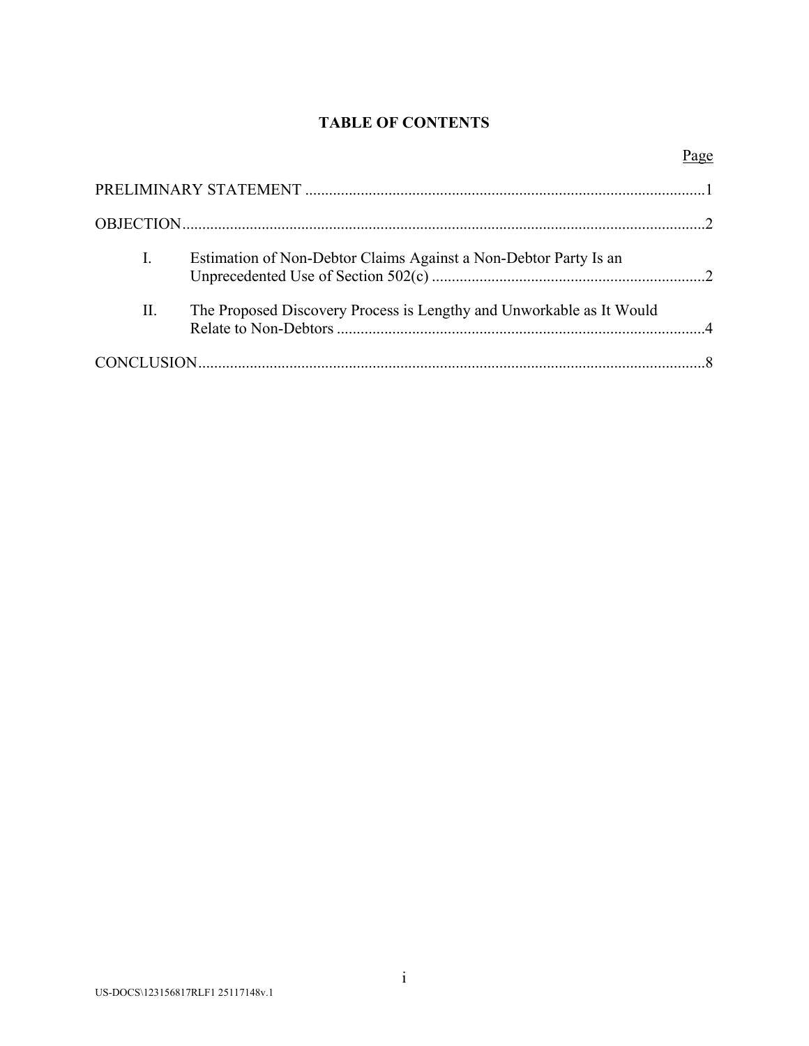# **TABLE OF CONTENTS**

Page

| I. | Estimation of Non-Debtor Claims Against a Non-Debtor Party Is an     |  |
|----|----------------------------------------------------------------------|--|
| П. | The Proposed Discovery Process is Lengthy and Unworkable as It Would |  |
|    |                                                                      |  |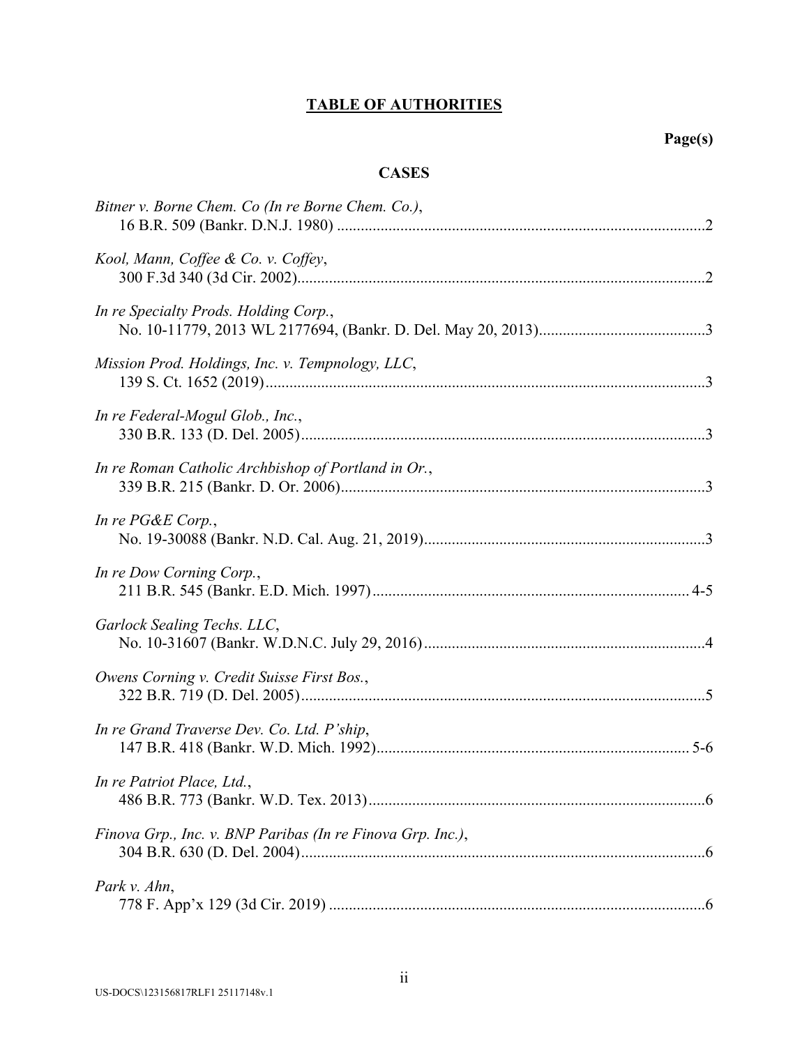# **TABLE OF AUTHORITIES**

## **CASES**

| Bitner v. Borne Chem. Co (In re Borne Chem. Co.),          |
|------------------------------------------------------------|
| Kool, Mann, Coffee & Co. v. Coffey,                        |
| In re Specialty Prods. Holding Corp.,                      |
| Mission Prod. Holdings, Inc. v. Tempnology, LLC,           |
| In re Federal-Mogul Glob., Inc.,                           |
| In re Roman Catholic Archbishop of Portland in Or.,        |
| In re PG&E Corp.,                                          |
| In re Dow Corning Corp.,                                   |
| Garlock Sealing Techs. LLC,                                |
| Owens Corning v. Credit Suisse First Bos.,                 |
| In re Grand Traverse Dev. Co. Ltd. P'ship,                 |
| In re Patriot Place, Ltd.,                                 |
| Finova Grp., Inc. v. BNP Paribas (In re Finova Grp. Inc.), |
| Park v. Ahn,                                               |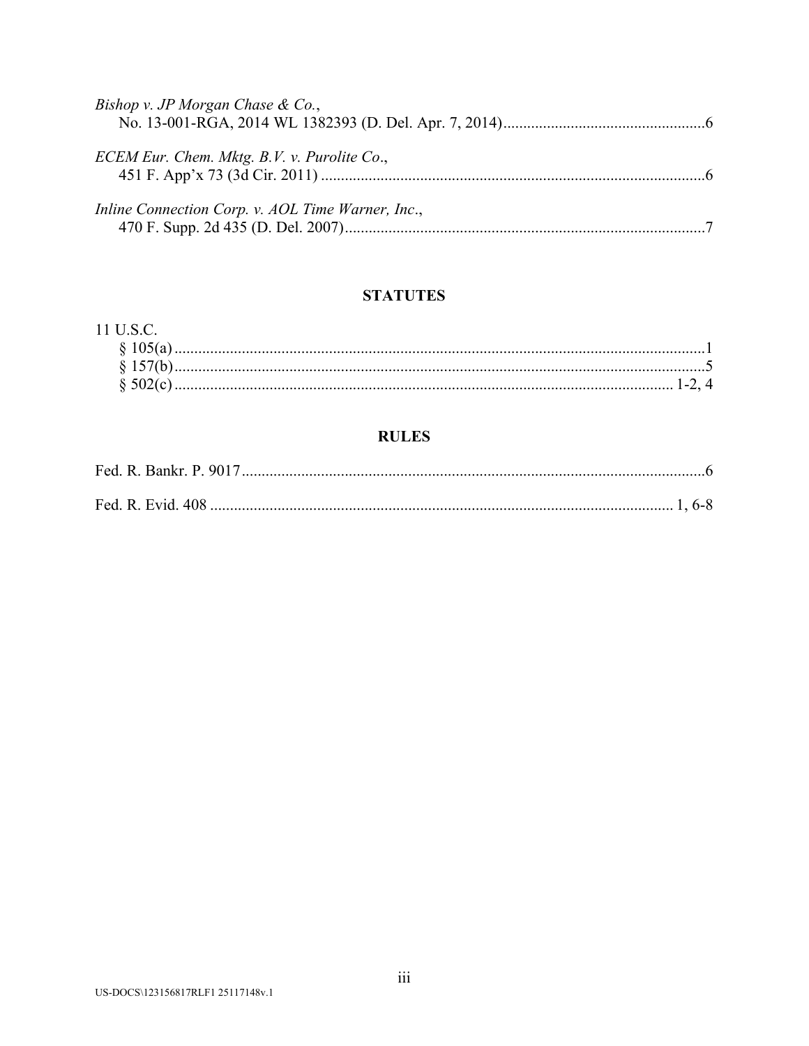| Bishop v. JP Morgan Chase & Co.,                  |  |
|---------------------------------------------------|--|
| ECEM Eur. Chem. Mktg. B.V. v. Purolite Co.,       |  |
| Inline Connection Corp. v. AOL Time Warner, Inc., |  |

# **STATUTES**

# 11 U.S.C.

# **RULES**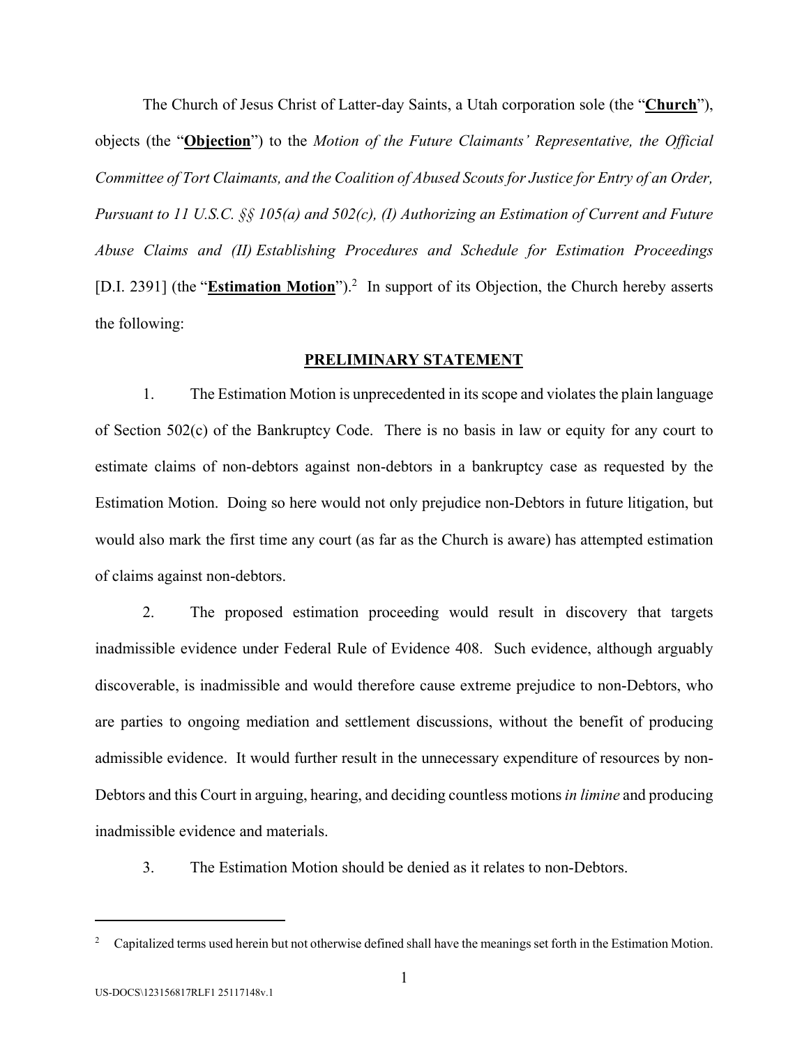The Church of Jesus Christ of Latter-day Saints, a Utah corporation sole (the "**Church**"), objects (the "**Objection**") to the *Motion of the Future Claimants' Representative, the Official Committee of Tort Claimants, and the Coalition of Abused Scouts for Justice for Entry of an Order, Pursuant to 11 U.S.C. §§ 105(a) and 502(c), (I) Authorizing an Estimation of Current and Future Abuse Claims and (II) Establishing Procedures and Schedule for Estimation Proceedings*  [D.I. 2391] (the "**Estimation Motion**").<sup>2</sup> In support of its Objection, the Church hereby asserts the following:

#### **PRELIMINARY STATEMENT**

1. The Estimation Motion is unprecedented in its scope and violates the plain language of Section 502(c) of the Bankruptcy Code. There is no basis in law or equity for any court to estimate claims of non-debtors against non-debtors in a bankruptcy case as requested by the Estimation Motion. Doing so here would not only prejudice non-Debtors in future litigation, but would also mark the first time any court (as far as the Church is aware) has attempted estimation of claims against non-debtors.

2. The proposed estimation proceeding would result in discovery that targets inadmissible evidence under Federal Rule of Evidence 408. Such evidence, although arguably discoverable, is inadmissible and would therefore cause extreme prejudice to non-Debtors, who are parties to ongoing mediation and settlement discussions, without the benefit of producing admissible evidence. It would further result in the unnecessary expenditure of resources by non-Debtors and this Court in arguing, hearing, and deciding countless motions *in limine* and producing inadmissible evidence and materials.

3. The Estimation Motion should be denied as it relates to non-Debtors.

 $\overline{a}$ 

<sup>2</sup> Capitalized terms used herein but not otherwise defined shall have the meanings set forth in the Estimation Motion.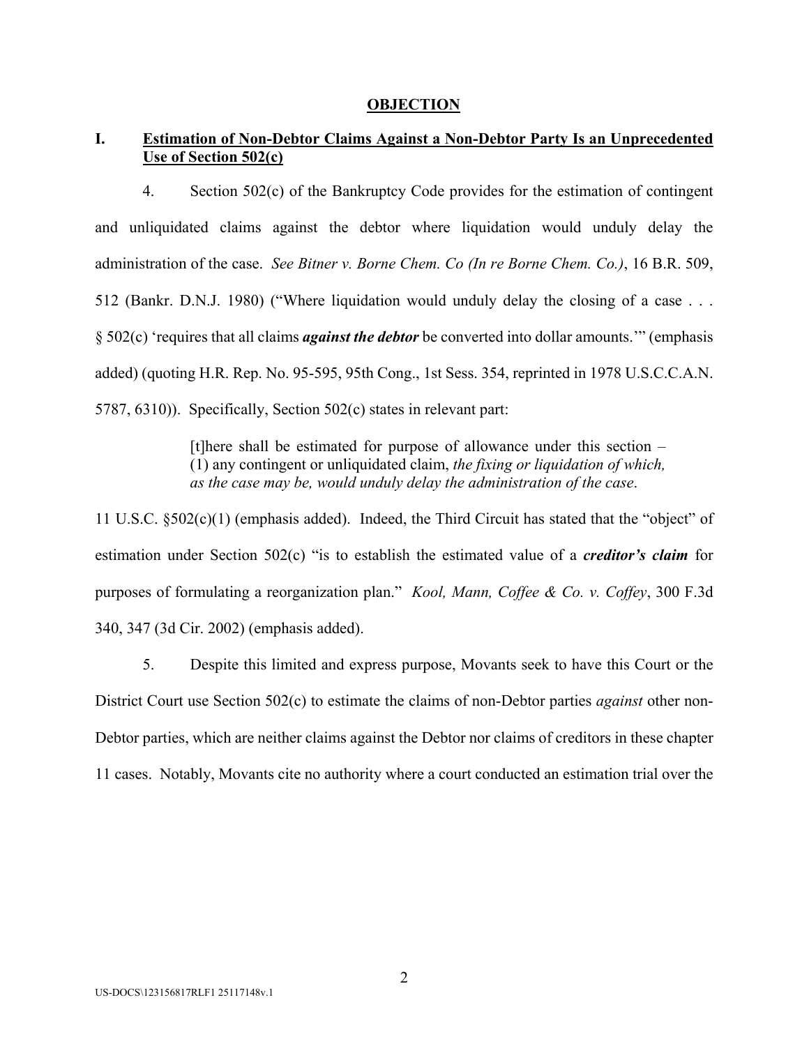#### **OBJECTION**

### **I. Estimation of Non-Debtor Claims Against a Non-Debtor Party Is an Unprecedented Use of Section 502(c)**

4. Section 502(c) of the Bankruptcy Code provides for the estimation of contingent and unliquidated claims against the debtor where liquidation would unduly delay the administration of the case. *See Bitner v. Borne Chem. Co (In re Borne Chem. Co.)*, 16 B.R. 509, 512 (Bankr. D.N.J. 1980) ("Where liquidation would unduly delay the closing of a case . . . § 502(c) 'requires that all claims *against the debtor* be converted into dollar amounts.'" (emphasis added) (quoting H.R. Rep. No. 95-595, 95th Cong., 1st Sess. 354, reprinted in 1978 U.S.C.C.A.N. 5787, 6310)). Specifically, Section 502(c) states in relevant part:

> [t]here shall be estimated for purpose of allowance under this section – (1) any contingent or unliquidated claim, *the fixing or liquidation of which, as the case may be, would unduly delay the administration of the case*.

11 U.S.C. §502(c)(1) (emphasis added). Indeed, the Third Circuit has stated that the "object" of estimation under Section 502(c) "is to establish the estimated value of a *creditor's claim* for purposes of formulating a reorganization plan." *Kool, Mann, Coffee & Co. v. Coffey*, 300 F.3d 340, 347 (3d Cir. 2002) (emphasis added).

5. Despite this limited and express purpose, Movants seek to have this Court or the District Court use Section 502(c) to estimate the claims of non-Debtor parties *against* other non-Debtor parties, which are neither claims against the Debtor nor claims of creditors in these chapter 11 cases. Notably, Movants cite no authority where a court conducted an estimation trial over the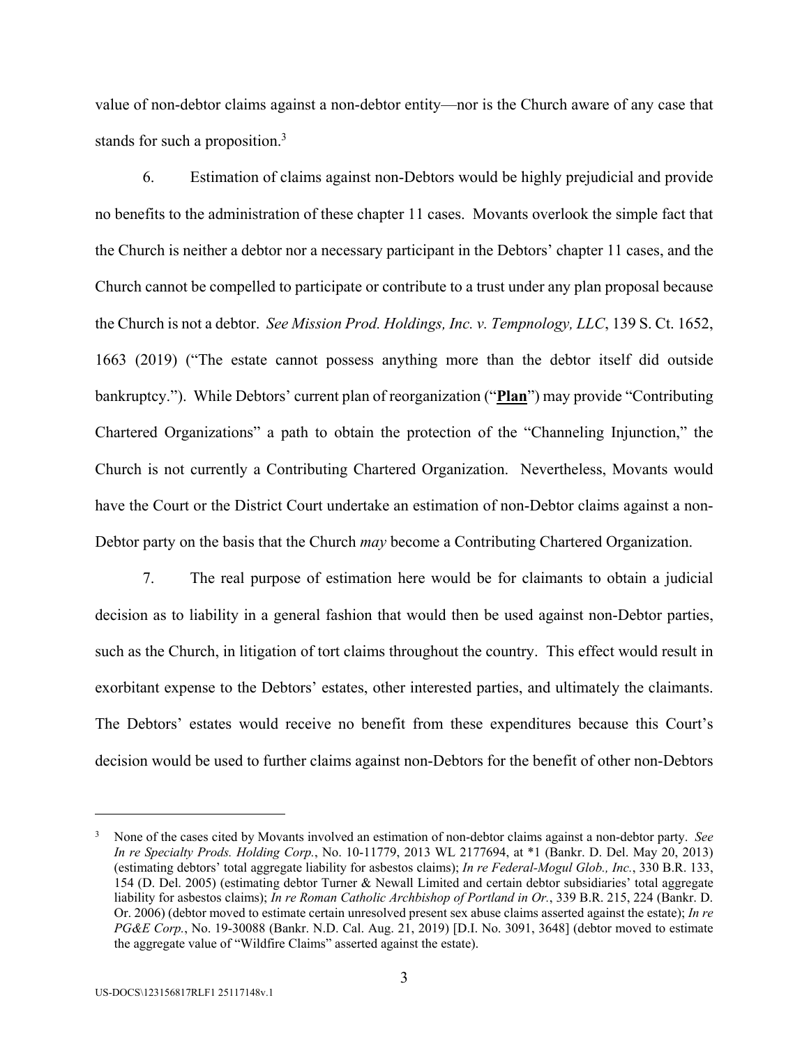value of non-debtor claims against a non-debtor entity—nor is the Church aware of any case that stands for such a proposition.<sup>3</sup>

6. Estimation of claims against non-Debtors would be highly prejudicial and provide no benefits to the administration of these chapter 11 cases. Movants overlook the simple fact that the Church is neither a debtor nor a necessary participant in the Debtors' chapter 11 cases, and the Church cannot be compelled to participate or contribute to a trust under any plan proposal because the Church is not a debtor. *See Mission Prod. Holdings, Inc. v. Tempnology, LLC*, 139 S. Ct. 1652, 1663 (2019) ("The estate cannot possess anything more than the debtor itself did outside bankruptcy."). While Debtors' current plan of reorganization ("**Plan**") may provide "Contributing Chartered Organizations" a path to obtain the protection of the "Channeling Injunction," the Church is not currently a Contributing Chartered Organization. Nevertheless, Movants would have the Court or the District Court undertake an estimation of non-Debtor claims against a non-Debtor party on the basis that the Church *may* become a Contributing Chartered Organization.

7. The real purpose of estimation here would be for claimants to obtain a judicial decision as to liability in a general fashion that would then be used against non-Debtor parties, such as the Church, in litigation of tort claims throughout the country. This effect would result in exorbitant expense to the Debtors' estates, other interested parties, and ultimately the claimants. The Debtors' estates would receive no benefit from these expenditures because this Court's decision would be used to further claims against non-Debtors for the benefit of other non-Debtors

1

<sup>3</sup> None of the cases cited by Movants involved an estimation of non-debtor claims against a non-debtor party. *See In re Specialty Prods. Holding Corp.*, No. 10-11779, 2013 WL 2177694, at \*1 (Bankr. D. Del. May 20, 2013) (estimating debtors' total aggregate liability for asbestos claims); *In re Federal-Mogul Glob., Inc.*, 330 B.R. 133, 154 (D. Del. 2005) (estimating debtor Turner & Newall Limited and certain debtor subsidiaries' total aggregate liability for asbestos claims); *In re Roman Catholic Archbishop of Portland in Or.*, 339 B.R. 215, 224 (Bankr. D. Or. 2006) (debtor moved to estimate certain unresolved present sex abuse claims asserted against the estate); *In re PG&E Corp.*, No. 19-30088 (Bankr. N.D. Cal. Aug. 21, 2019) [D.I. No. 3091, 3648] (debtor moved to estimate the aggregate value of "Wildfire Claims" asserted against the estate).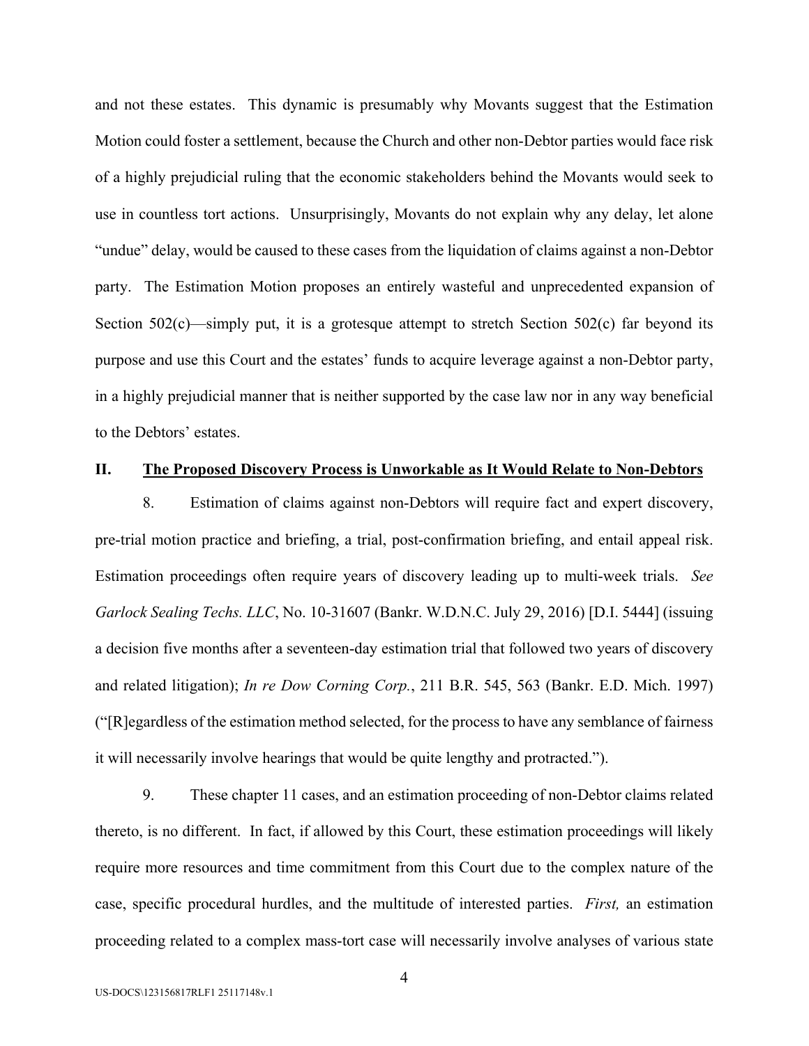and not these estates. This dynamic is presumably why Movants suggest that the Estimation Motion could foster a settlement, because the Church and other non-Debtor parties would face risk of a highly prejudicial ruling that the economic stakeholders behind the Movants would seek to use in countless tort actions. Unsurprisingly, Movants do not explain why any delay, let alone "undue" delay, would be caused to these cases from the liquidation of claims against a non-Debtor party. The Estimation Motion proposes an entirely wasteful and unprecedented expansion of Section  $502(c)$ —simply put, it is a grotesque attempt to stretch Section  $502(c)$  far beyond its purpose and use this Court and the estates' funds to acquire leverage against a non-Debtor party, in a highly prejudicial manner that is neither supported by the case law nor in any way beneficial to the Debtors' estates.

### **II. The Proposed Discovery Process is Unworkable as It Would Relate to Non-Debtors**

8. Estimation of claims against non-Debtors will require fact and expert discovery, pre-trial motion practice and briefing, a trial, post-confirmation briefing, and entail appeal risk. Estimation proceedings often require years of discovery leading up to multi-week trials. *See Garlock Sealing Techs. LLC*, No. 10-31607 (Bankr. W.D.N.C. July 29, 2016) [D.I. 5444] (issuing a decision five months after a seventeen-day estimation trial that followed two years of discovery and related litigation); *In re Dow Corning Corp.*, 211 B.R. 545, 563 (Bankr. E.D. Mich. 1997) ("[R]egardless of the estimation method selected, for the process to have any semblance of fairness it will necessarily involve hearings that would be quite lengthy and protracted.").

9. These chapter 11 cases, and an estimation proceeding of non-Debtor claims related thereto, is no different. In fact, if allowed by this Court, these estimation proceedings will likely require more resources and time commitment from this Court due to the complex nature of the case, specific procedural hurdles, and the multitude of interested parties. *First,* an estimation proceeding related to a complex mass-tort case will necessarily involve analyses of various state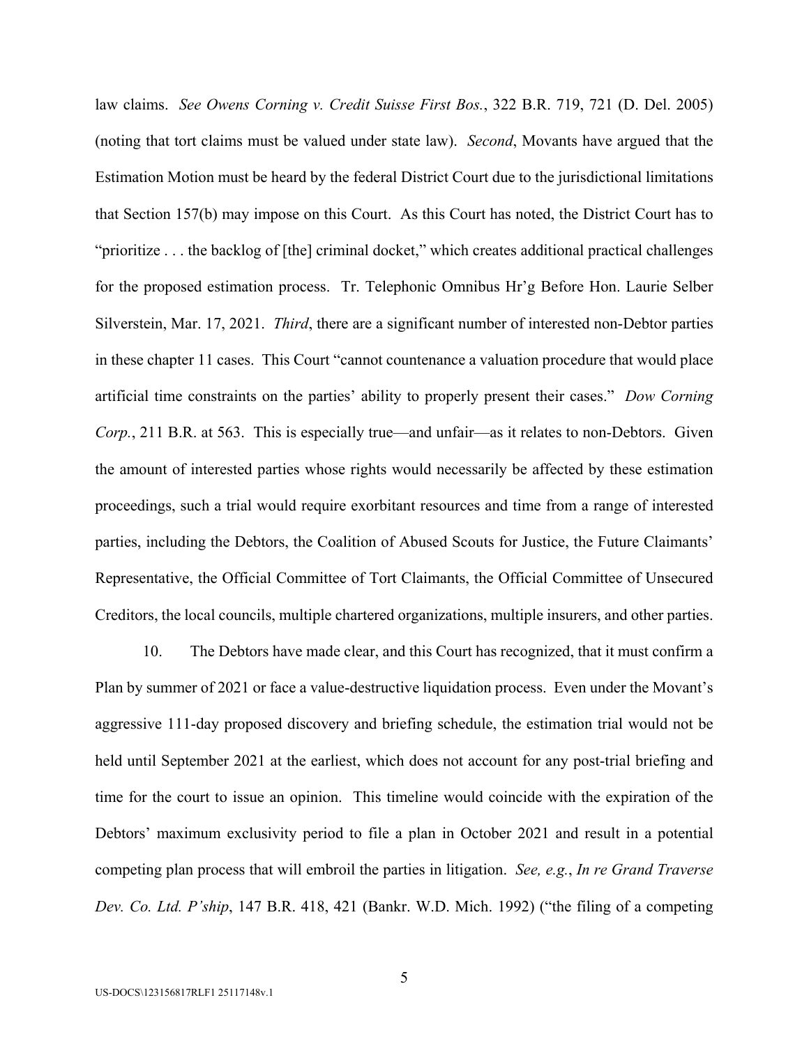law claims. *See Owens Corning v. Credit Suisse First Bos.*, 322 B.R. 719, 721 (D. Del. 2005) (noting that tort claims must be valued under state law). *Second*, Movants have argued that the Estimation Motion must be heard by the federal District Court due to the jurisdictional limitations that Section 157(b) may impose on this Court.As this Court has noted, the District Court has to "prioritize . . . the backlog of [the] criminal docket," which creates additional practical challenges for the proposed estimation process. Tr. Telephonic Omnibus Hr'g Before Hon. Laurie Selber Silverstein, Mar. 17, 2021. *Third*, there are a significant number of interested non-Debtor parties in these chapter 11 cases. This Court "cannot countenance a valuation procedure that would place artificial time constraints on the parties' ability to properly present their cases." *Dow Corning Corp.*, 211 B.R. at 563. This is especially true—and unfair—as it relates to non-Debtors. Given the amount of interested parties whose rights would necessarily be affected by these estimation proceedings, such a trial would require exorbitant resources and time from a range of interested parties, including the Debtors, the Coalition of Abused Scouts for Justice, the Future Claimants' Representative, the Official Committee of Tort Claimants, the Official Committee of Unsecured Creditors, the local councils, multiple chartered organizations, multiple insurers, and other parties.

10. The Debtors have made clear, and this Court has recognized, that it must confirm a Plan by summer of 2021 or face a value-destructive liquidation process. Even under the Movant's aggressive 111-day proposed discovery and briefing schedule, the estimation trial would not be held until September 2021 at the earliest, which does not account for any post-trial briefing and time for the court to issue an opinion. This timeline would coincide with the expiration of the Debtors' maximum exclusivity period to file a plan in October 2021 and result in a potential competing plan process that will embroil the parties in litigation. *See, e.g.*, *In re Grand Traverse Dev. Co. Ltd. P'ship*, 147 B.R. 418, 421 (Bankr. W.D. Mich. 1992) ("the filing of a competing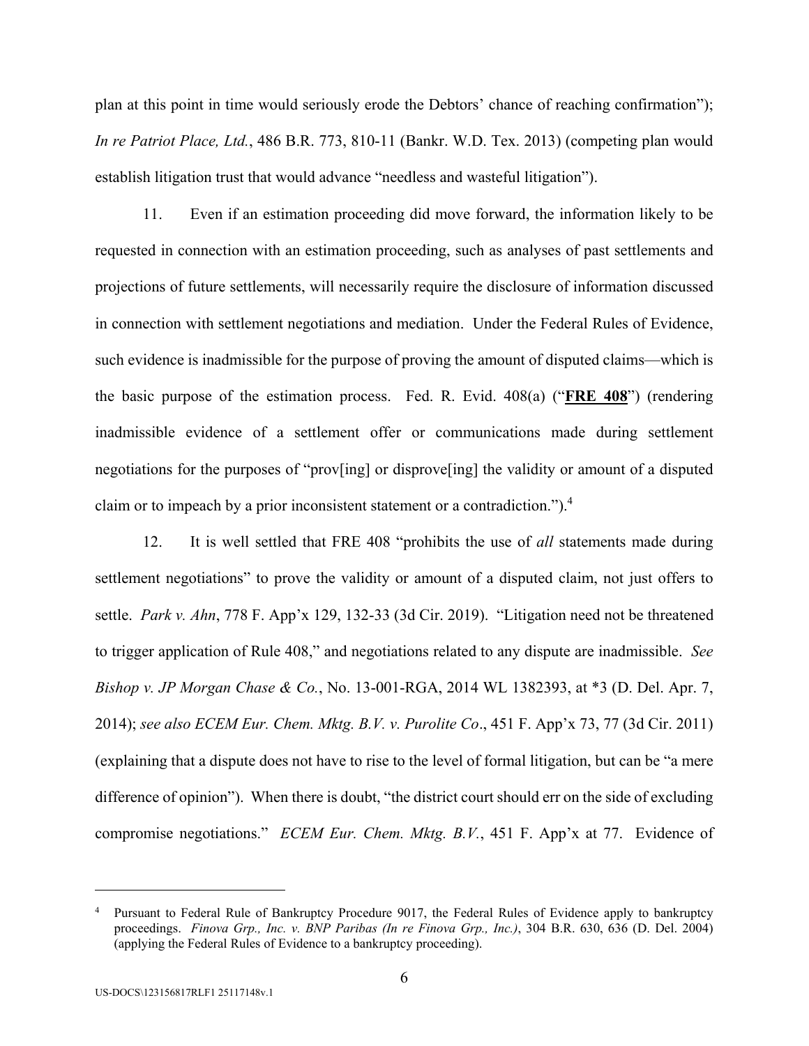plan at this point in time would seriously erode the Debtors' chance of reaching confirmation"); *In re Patriot Place, Ltd.*, 486 B.R. 773, 810-11 (Bankr. W.D. Tex. 2013) (competing plan would establish litigation trust that would advance "needless and wasteful litigation").

11. Even if an estimation proceeding did move forward, the information likely to be requested in connection with an estimation proceeding, such as analyses of past settlements and projections of future settlements, will necessarily require the disclosure of information discussed in connection with settlement negotiations and mediation. Under the Federal Rules of Evidence, such evidence is inadmissible for the purpose of proving the amount of disputed claims—which is the basic purpose of the estimation process. Fed. R. Evid. 408(a) ("**FRE 408**") (rendering inadmissible evidence of a settlement offer or communications made during settlement negotiations for the purposes of "prov[ing] or disprove[ing] the validity or amount of a disputed claim or to impeach by a prior inconsistent statement or a contradiction.").4

12. It is well settled that FRE 408 "prohibits the use of *all* statements made during settlement negotiations" to prove the validity or amount of a disputed claim, not just offers to settle. *Park v. Ahn*, 778 F. App'x 129, 132-33 (3d Cir. 2019). "Litigation need not be threatened to trigger application of Rule 408," and negotiations related to any dispute are inadmissible. *See Bishop v. JP Morgan Chase & Co.*, No. 13-001-RGA, 2014 WL 1382393, at \*3 (D. Del. Apr. 7, 2014); *see also ECEM Eur. Chem. Mktg. B.V. v. Purolite Co*., 451 F. App'x 73, 77 (3d Cir. 2011) (explaining that a dispute does not have to rise to the level of formal litigation, but can be "a mere difference of opinion"). When there is doubt, "the district court should err on the side of excluding compromise negotiations." *ECEM Eur. Chem. Mktg. B.V.*, 451 F. App'x at 77. Evidence of

 $\overline{a}$ 

<sup>4</sup> Pursuant to Federal Rule of Bankruptcy Procedure 9017, the Federal Rules of Evidence apply to bankruptcy proceedings. *Finova Grp., Inc. v. BNP Paribas (In re Finova Grp., Inc.)*, 304 B.R. 630, 636 (D. Del. 2004) (applying the Federal Rules of Evidence to a bankruptcy proceeding).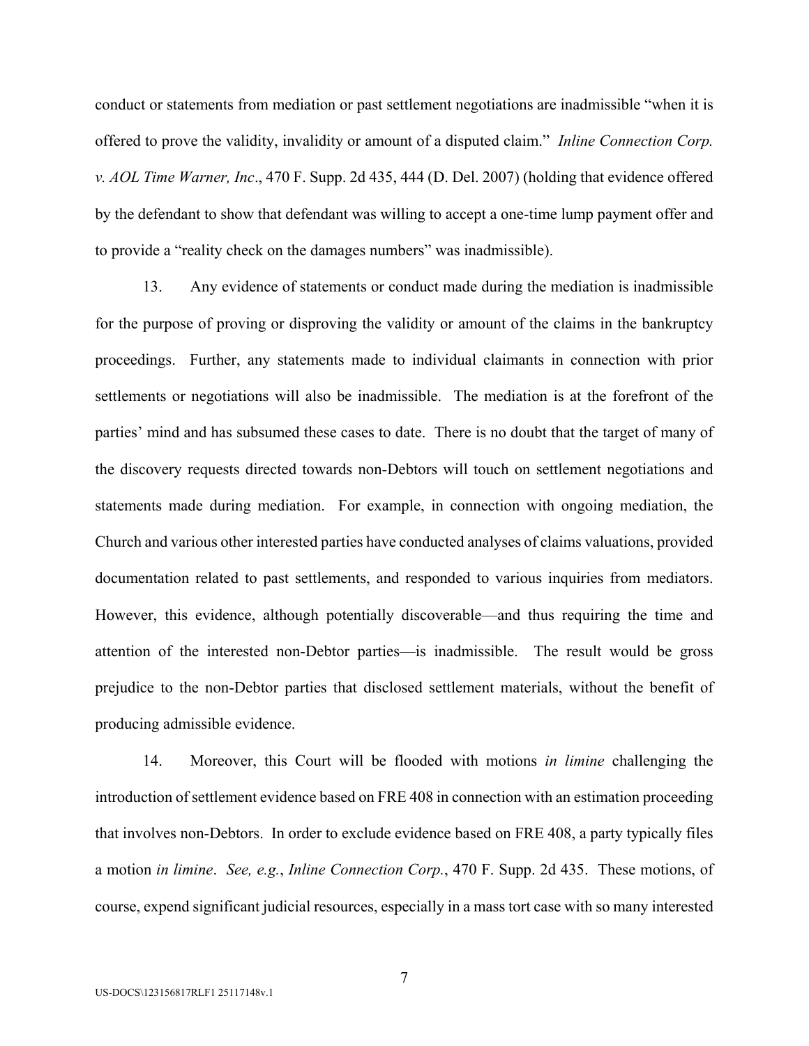conduct or statements from mediation or past settlement negotiations are inadmissible "when it is offered to prove the validity, invalidity or amount of a disputed claim." *Inline Connection Corp. v. AOL Time Warner, Inc*., 470 F. Supp. 2d 435, 444 (D. Del. 2007) (holding that evidence offered by the defendant to show that defendant was willing to accept a one-time lump payment offer and to provide a "reality check on the damages numbers" was inadmissible).

13. Any evidence of statements or conduct made during the mediation is inadmissible for the purpose of proving or disproving the validity or amount of the claims in the bankruptcy proceedings. Further, any statements made to individual claimants in connection with prior settlements or negotiations will also be inadmissible. The mediation is at the forefront of the parties' mind and has subsumed these cases to date. There is no doubt that the target of many of the discovery requests directed towards non-Debtors will touch on settlement negotiations and statements made during mediation. For example, in connection with ongoing mediation, the Church and various other interested parties have conducted analyses of claims valuations, provided documentation related to past settlements, and responded to various inquiries from mediators. However, this evidence, although potentially discoverable—and thus requiring the time and attention of the interested non-Debtor parties—is inadmissible. The result would be gross prejudice to the non-Debtor parties that disclosed settlement materials, without the benefit of producing admissible evidence.

14. Moreover, this Court will be flooded with motions *in limine* challenging the introduction of settlement evidence based on FRE 408 in connection with an estimation proceeding that involves non-Debtors. In order to exclude evidence based on FRE 408, a party typically files a motion *in limine*. *See, e.g.*, *Inline Connection Corp.*, 470 F. Supp. 2d 435. These motions, of course, expend significant judicial resources, especially in a mass tort case with so many interested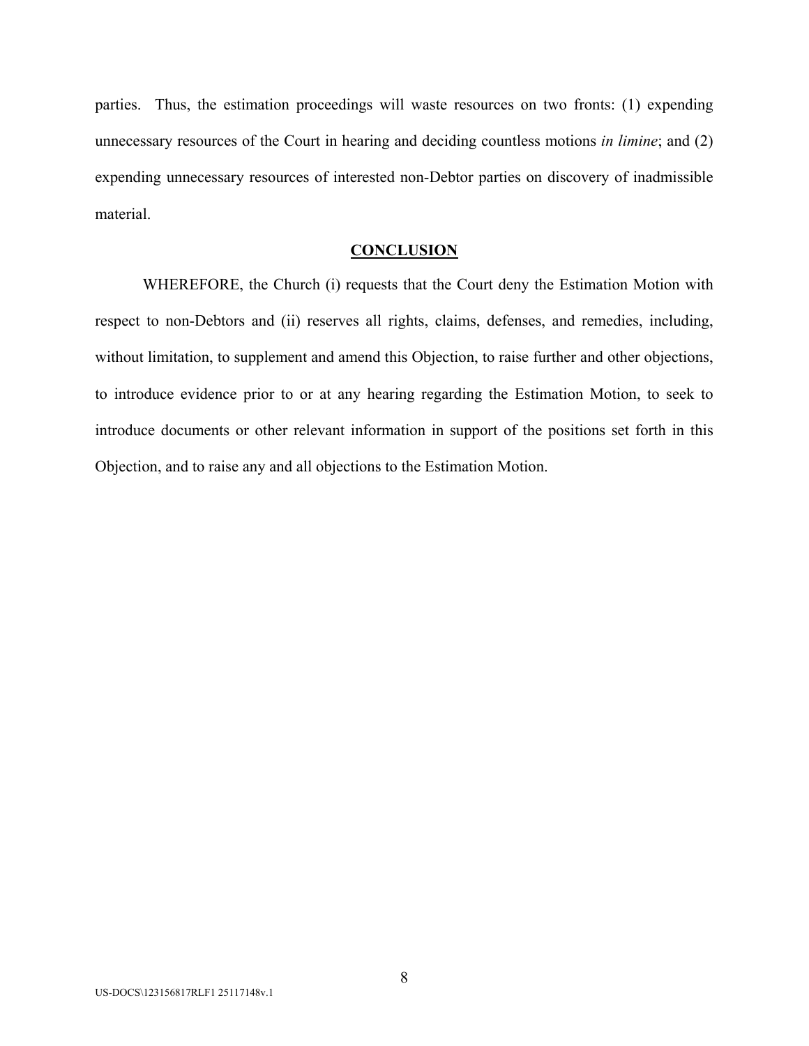parties. Thus, the estimation proceedings will waste resources on two fronts: (1) expending unnecessary resources of the Court in hearing and deciding countless motions *in limine*; and (2) expending unnecessary resources of interested non-Debtor parties on discovery of inadmissible material.

### **CONCLUSION**

WHEREFORE, the Church (i) requests that the Court deny the Estimation Motion with respect to non-Debtors and (ii) reserves all rights, claims, defenses, and remedies, including, without limitation, to supplement and amend this Objection, to raise further and other objections, to introduce evidence prior to or at any hearing regarding the Estimation Motion, to seek to introduce documents or other relevant information in support of the positions set forth in this Objection, and to raise any and all objections to the Estimation Motion.